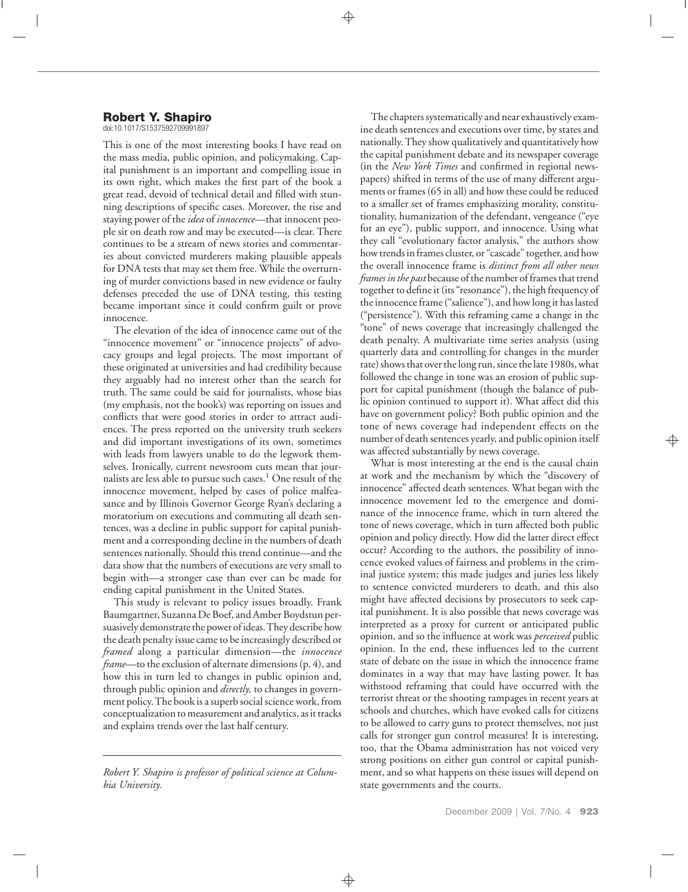## **Robert Y. Shapiro**

doi:10.1017/S1537592709991897

This is one of the most interesting books I have read on the mass media, public opinion, and policymaking. Capital punishment is an important and compelling issue in its own right, which makes the first part of the book a great read, devoid of technical detail and filled with stunning descriptions of specific cases. Moreover, the rise and staying power of the*idea* of *innocence*—that innocent people sit on death row and may be executed—is clear. There continues to be a stream of news stories and commentaries about convicted murderers making plausible appeals for DNA tests that may set them free. While the overturning of murder convictions based in new evidence or faulty defenses preceded the use of DNA testing, this testing became important since it could confirm guilt or prove innocence.

The elevation of the idea of innocence came out of the "innocence movement" or "innocence projects" of advocacy groups and legal projects. The most important of these originated at universities and had credibility because they arguably had no interest other than the search for truth. The same could be said for journalists, whose bias (my emphasis, not the book's) was reporting on issues and conflicts that were good stories in order to attract audiences. The press reported on the university truth seekers and did important investigations of its own, sometimes with leads from lawyers unable to do the legwork themselves. Ironically, current newsroom cuts mean that journalists are less able to pursue such cases.<sup>1</sup> One result of the innocence movement, helped by cases of police malfeasance and by Illinois Governor George Ryan's declaring a moratorium on executions and commuting all death sentences, was a decline in public support for capital punishment and a corresponding decline in the numbers of death sentences nationally. Should this trend continue—and the data show that the numbers of executions are very small to begin with—a stronger case than ever can be made for ending capital punishment in the United States.

This study is relevant to policy issues broadly. Frank Baumgartner, Suzanna De Boef, and Amber Boydstun persuasively demonstrate the power of ideas.They describe how the death penalty issue came to be increasingly described or *framed* along a particular dimension—the *innocence frame*—to the exclusion of alternate dimensions (p. 4), and how this in turn led to changes in public opinion and, through public opinion and *directly,* to changes in government policy.The book is a superb social science work, from conceptualization to measurement and analytics, as it tracks and explains trends over the last half century.

*Robert Y. Shapiro is professor of political science at Columbia University.*

The chapters systematically and near exhaustively examine death sentences and executions over time, by states and nationally. They show qualitatively and quantitatively how the capital punishment debate and its newspaper coverage (in the *New York Times* and confirmed in regional newspapers) shifted in terms of the use of many different arguments or frames (65 in all) and how these could be reduced to a smaller set of frames emphasizing morality, constitutionality, humanization of the defendant, vengeance ("eye for an eye"), public support, and innocence. Using what they call "evolutionary factor analysis," the authors show how trends in frames cluster, or "cascade" together, and how the overall innocence frame is *distinct from all other news frames in the past* because of the number of frames that trend together to define it (its "resonance"), the high frequency of the innocence frame ("salience"), and how long it has lasted ("persistence"). With this reframing came a change in the "tone" of news coverage that increasingly challenged the death penalty. A multivariate time series analysis (using quarterly data and controlling for changes in the murder rate) shows that over the long run, since the late 1980s, what followed the change in tone was an erosion of public support for capital punishment (though the balance of public opinion continued to support it). What affect did this have on government policy? Both public opinion and the tone of news coverage had independent effects on the number of death sentences yearly, and public opinion itself was affected substantially by news coverage.

What is most interesting at the end is the causal chain at work and the mechanism by which the "discovery of innocence" affected death sentences. What began with the innocence movement led to the emergence and dominance of the innocence frame, which in turn altered the tone of news coverage, which in turn affected both public opinion and policy directly. How did the latter direct effect occur? According to the authors, the possibility of innocence evoked values of fairness and problems in the criminal justice system; this made judges and juries less likely to sentence convicted murderers to death, and this also might have affected decisions by prosecutors to seek capital punishment. It is also possible that news coverage was interpreted as a proxy for current or anticipated public opinion, and so the influence at work was *perceived* public opinion. In the end, these influences led to the current state of debate on the issue in which the innocence frame dominates in a way that may have lasting power. It has withstood reframing that could have occurred with the terrorist threat or the shooting rampages in recent years at schools and churches, which have evoked calls for citizens to be allowed to carry guns to protect themselves, not just calls for stronger gun control measures! It is interesting, too, that the Obama administration has not voiced very strong positions on either gun control or capital punishment, and so what happens on these issues will depend on state governments and the courts.